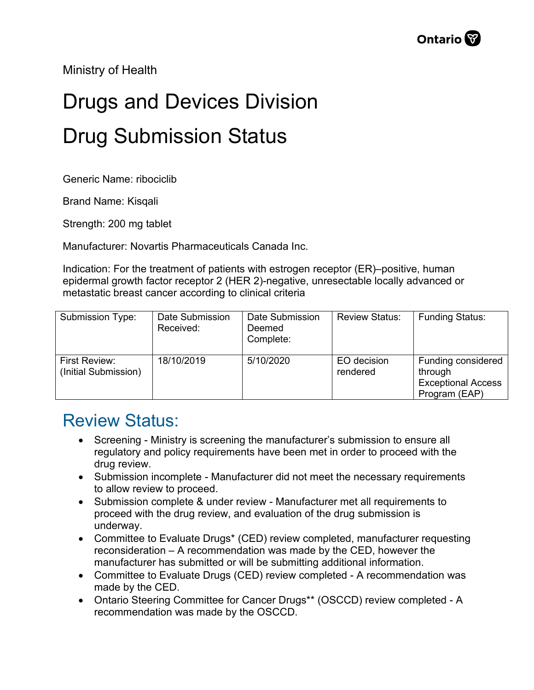Ministry of Health

## Drugs and Devices Division Drug Submission Status

Generic Name: ribociclib

Brand Name: Kisqali

Strength: 200 mg tablet

Manufacturer: Novartis Pharmaceuticals Canada Inc.

Indication: For the treatment of patients with estrogen receptor (ER)–positive, human epidermal growth factor receptor 2 (HER 2)-negative, unresectable locally advanced or metastatic breast cancer according to clinical criteria

| Submission Type:                             | Date Submission<br>Received: | Date Submission<br>Deemed<br>Complete: | <b>Review Status:</b>   | <b>Funding Status:</b>                                                      |
|----------------------------------------------|------------------------------|----------------------------------------|-------------------------|-----------------------------------------------------------------------------|
| <b>First Review:</b><br>(Initial Submission) | 18/10/2019                   | 5/10/2020                              | EO decision<br>rendered | Funding considered<br>through<br><b>Exceptional Access</b><br>Program (EAP) |

## Review Status:

- Screening Ministry is screening the manufacturer's submission to ensure all regulatory and policy requirements have been met in order to proceed with the drug review.
- Submission incomplete Manufacturer did not meet the necessary requirements to allow review to proceed.
- Submission complete & under review Manufacturer met all requirements to proceed with the drug review, and evaluation of the drug submission is underway.
- Committee to Evaluate Drugs\* (CED) review completed, manufacturer requesting reconsideration – A recommendation was made by the CED, however the manufacturer has submitted or will be submitting additional information.
- Committee to Evaluate Drugs (CED) review completed A recommendation was made by the CED.
- Ontario Steering Committee for Cancer Drugs\*\* (OSCCD) review completed A recommendation was made by the OSCCD.